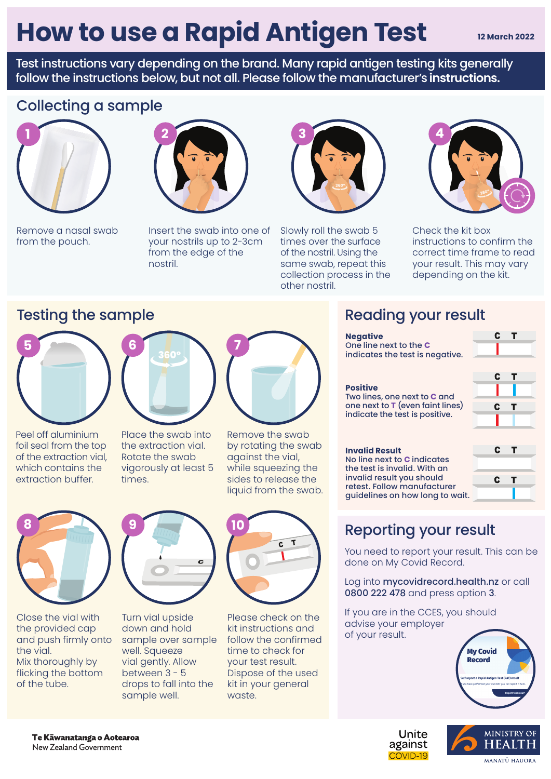# **How to use a Rapid Antigen Test**

**12 March 2022**

Test instructions vary depending on the brand. Many rapid antigen testing kits generally follow the instructions below, but not all. Please follow the manufacturer's **instructions.** 

## Collecting a sample



Remove a nasal swab from the pouch.

Insert the swab into one of your nostrils up to 2-3cm from the edge of the nostril.



Slowly roll the swab 5 times over the surface of the nostril. Using the same swab, repeat this collection process in the other nostril.



Check the kit box instructions to confirm the correct time frame to read your result. This may vary depending on the kit.

### Testing the sample Testing the sample Reading your result



Peel off aluminium foil seal from the top of the extraction vial, which contains the extraction buffer.



Place the swab into the extraction vial. Rotate the swab vigorously at least 5 times.



Remove the swab by rotating the swab against the vial, while squeezing the sides to release the liquid from the swab.



Close the vial with the provided cap and push firmly onto the vial. Mix thoroughly by flicking the bottom of the tube.



Turn vial upside down and hold sample over sample well. Squeeze vial gently. Allow between 3 - 5 drops to fall into the sample well.



Please check on the kit instructions and follow the confirmed time to check for your test result. Dispose of the used kit in your general waste.

| <b>Negative</b><br>One line next to the C<br>indicates the test is negative.                                                                                                        |  |   |     |  |
|-------------------------------------------------------------------------------------------------------------------------------------------------------------------------------------|--|---|-----|--|
| <b>Positive</b><br>Two lines, one next to C and<br>one next to T (even faint lines)<br>indicate the test is positive.                                                               |  | C |     |  |
| <b>Invalid Result</b><br>No line next to C indicates<br>the test is invalid. With an<br>invalid result you should<br>retest. Follow manufacturer<br>quidelines on how long to wait. |  | C | — т |  |
|                                                                                                                                                                                     |  |   |     |  |

## Reporting your result

You need to report your result. This can be done on My Covid Record.

Log into mycovidrecord.health.nz or call 0800 222 478 and press option 3.

If you are in the CCES, you should advise your employer of your result.